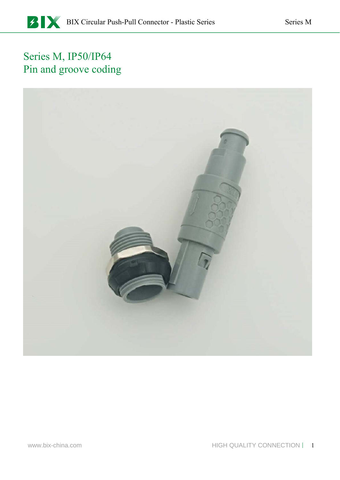## Series M, IP50/IP64 Pin and groove coding

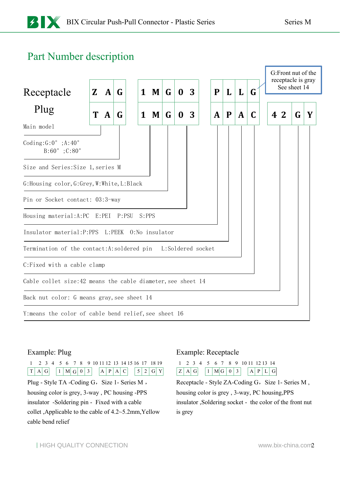### Part Number description



#### Example: Plug

| 1 2 3 4 5 6 7 8 9 10 11 12 13 14 15 16 17 18 19 |  |  |  |  |  |  |  |  |  |
|-------------------------------------------------|--|--|--|--|--|--|--|--|--|
|                                                 |  |  |  |  |  |  |  |  |  |
|                                                 |  |  |  |  |  |  |  |  |  |

Plug - Style TA -Coding G, Size 1- Series M, housing color is grey, 3-way , PC housing -PPS insulator -Soldering pin - Fixed with a cable collet ,Applicable to the cable of 4.2~5.2mm,Yellow cable bend relief

#### Example: Receptacle

|  |  | 1 2 3 4 5 6 7 8 9 10 11 12 13 14 |  |  |  |  |  |
|--|--|----------------------------------|--|--|--|--|--|
|  |  |                                  |  |  |  |  |  |

Receptacle - Style ZA-Coding G, Size 1- Series M, housing color is grey , 3-way, PC housing,PPS insulator ,Soldering socket - the color of the front nut is grey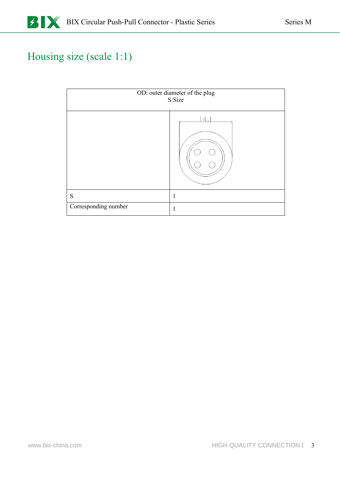## Housing size (scale 1:1)

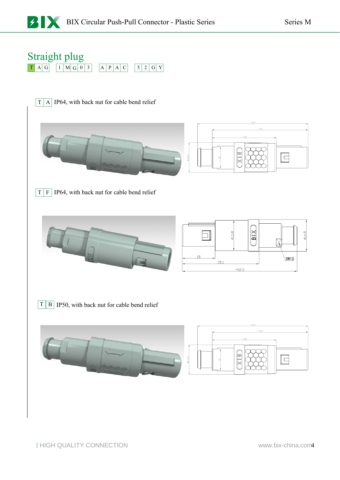### Straight plug T AG 1 M G 0 3 A PAC 5 2 GY

 $T \mid A \mid$  IP64, with back nut for cable bend relief



 $T \mid F \mid$  IP64, with back nut for cable bend relief



 $T \mid B \mid$  IP50, with back nut for cable bend relief

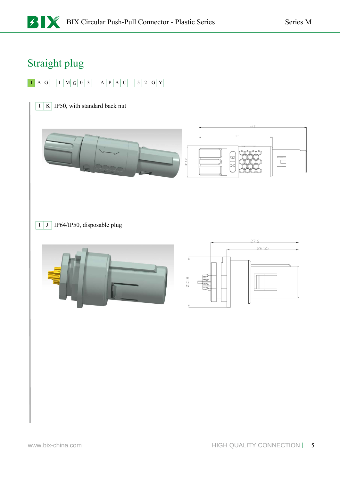# Straight plug



#### $T$  K IP50, with standard back nut



 $T$  J | IP64/IP50, disposable plug

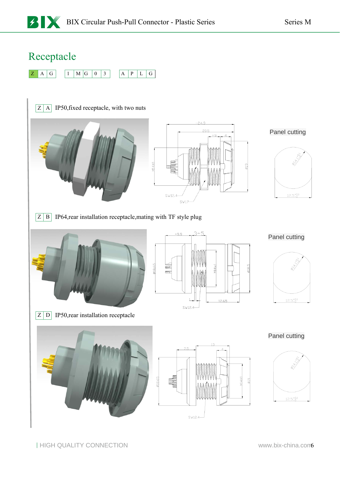









Panel cutting











HIGH QUALITY CONNECTION www.bix-china.com6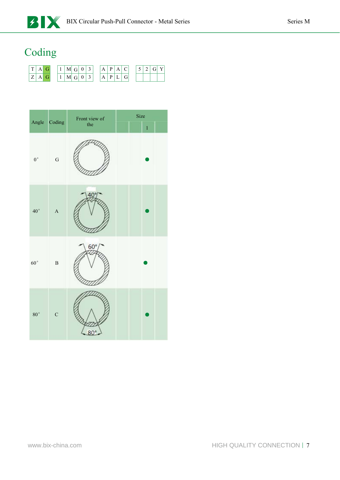

# Coding

|   |   |  | M G | $\mathbf{0}$ | $\gamma$<br>◡ |  | D | A |  |  |  |
|---|---|--|-----|--------------|---------------|--|---|---|--|--|--|
| - | G |  | M G | 0            | $\gamma$<br>ر |  | D |   |  |  |  |

|                         | Angle Coding   | Front view of | Size         |
|-------------------------|----------------|---------------|--------------|
|                         |                | the           | $\mathbf{1}$ |
| $0^{\circ}$             | $\mathbf G$    |               |              |
| $40^{\circ}$            | $\overline{A}$ |               |              |
| $60\ensuremath{^\circ}$ | $\overline{B}$ | $60^\circ$    |              |
| $80\ensuremath{^\circ}$ | $\mathbf C$    | $80^\circ$    |              |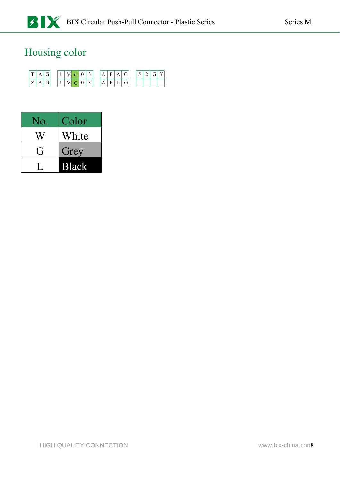## Housing color

| $T_{\perp}$ | ' Gı  |  | $1 \mid M \mid G \mid 0 \mid 3$ |  |  |  | A   P   A   C |  |  | $\mid G \mid Y'$ |  |
|-------------|-------|--|---------------------------------|--|--|--|---------------|--|--|------------------|--|
|             | Z A G |  | $1 \mid M \mid G \mid 0 \mid 3$ |  |  |  | A   P   L     |  |  |                  |  |

| No.            | Color        |
|----------------|--------------|
|                | White        |
| ( <del>ì</del> | Grey         |
|                | <b>Black</b> |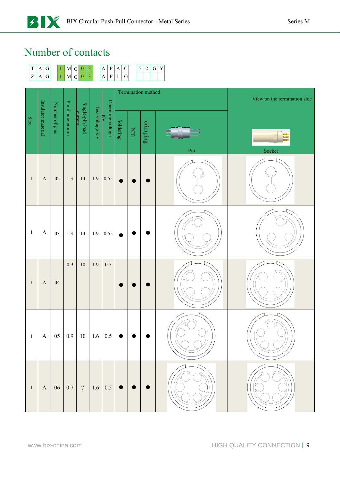## Number of contacts



|                |                           |                |                 |                            |     |                                            |           |            | Termination method |                               | View on the termination side |
|----------------|---------------------------|----------------|-----------------|----------------------------|-----|--------------------------------------------|-----------|------------|--------------------|-------------------------------|------------------------------|
| Size           | Insulator material        | Number of pins | Pin diameter mm | Single-pin load<br>current |     | Operating voltage<br>KV<br>Test voltage KV | Soldering | ${\rm PG}$ | crimping           | $\ensuremath{\text{\rm Pin}}$ | LP<br>Socket                 |
| $\overline{1}$ | $\boldsymbol{\rm{A}}$     | $02\,$         | $1.3$           | 14                         | 1.9 | 0.55                                       |           |            |                    |                               |                              |
| $\mathbf{1}$   | $\mathbf{A}$              | 03             | 1.3             | 14                         | 1.9 | 0.55                                       |           |            |                    |                               |                              |
| $\mathbf{1}$   | $\boldsymbol{\mathsf{A}}$ | 04             | 0.9             | $10\,$                     | 1.9 | $0.5\,$                                    |           |            |                    |                               |                              |
| $\mathbf{1}$   | $\mathbf{A}$              | 05             | $0.9\,$         | $10\,$                     | 1.6 | $0.5\,$                                    |           |            |                    |                               |                              |
| $\overline{1}$ | $\mathbf{A}$              |                | $06 \mid 0.7$   | $7\overline{ }$            |     | $\vert 1.6 \vert 0.5 \vert$                | $\bullet$ | $\bullet$  |                    |                               |                              |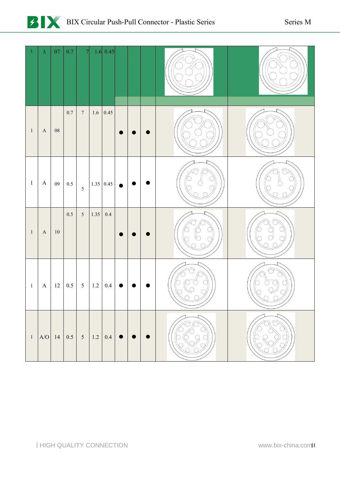

| $\,1\,$        | $\,$ A       | $07\,$     | 0.7                                        | 7               |         | $1.6 \, 0.45$ |           |                          |  |
|----------------|--------------|------------|--------------------------------------------|-----------------|---------|---------------|-----------|--------------------------|--|
| $\,1\,$        | $\mathbf A$  | ${\bf 08}$ | 0.7                                        | $7\,$           | 1.6     | 0.45          |           |                          |  |
| $\mathbf{1}$   | $\mathbf{A}$ | 09         | $0.5\,$                                    | $\overline{5}$  |         | 1.35 0.45     | $\bullet$ |                          |  |
| $\,1\,$        | $\mathbf A$  | $10\,$     | 0.5                                        | $\mathfrak{S}$  | 1.35    | $0.4\,$       |           |                          |  |
| $\overline{1}$ | $\mathbf A$  | 12         | $0.5\,$                                    | $5\overline{)}$ | $1.2\,$ | 0.4           | $\bullet$ |                          |  |
| $\!1\,$        |              |            | $A/O$ 14 0.5 5 1.2 0.4 $\bullet$ $\bullet$ |                 |         |               |           | $\overline{\phantom{a}}$ |  |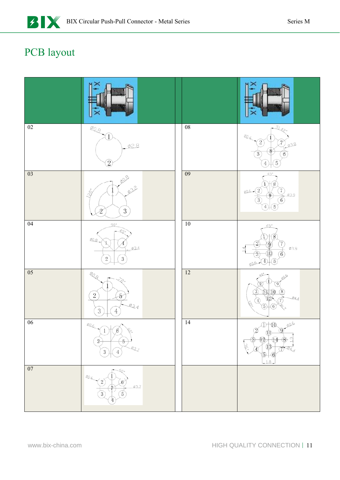

# PCB layout

| $\overline{02}$ | $\text{LLR}$<br>$\approx 1$<br>Ø2.8<br>$\overline{2}$                                                                               | $\overline{08}$ | 51<br>$\mathcal{Q}_{\mathcal{L}_{\mathcal{L}}}$<br>2<br>03.8<br>3<br>b                                                                             |
|-----------------|-------------------------------------------------------------------------------------------------------------------------------------|-----------------|----------------------------------------------------------------------------------------------------------------------------------------------------|
| $\overline{03}$ | $\delta$<br>$\overline{3}$<br>9                                                                                                     | $\overline{09}$ | ø0.6<br>23.9                                                                                                                                       |
| 04              | $90^\circ$<br>0.8<br>$\phi$ 3.4<br>$\overline{2}$<br>3                                                                              | 10              | Ø3.9<br>6                                                                                                                                          |
| $\overline{05}$ | ₹0<br>$2^{\circ}$<br>5<br>24<br>$\mathbf{3}$<br>$\overline{4}$                                                                      | $\overline{12}$ | 3<br>8<br>Ø4,4                                                                                                                                     |
| $06\,$          | 206<br>$1$ $\pi$<br>$\boldsymbol{6}$<br>$\overline{5}$<br>2<br>222<br>$\left(3\right)$<br>$\overline{4}$                            | $\overline{14}$ | 006<br>10<br>$\circledcirc$<br>9<br>$\overline{\mathbb{D}}$<br>$\widehat{44}$<br>(8)<br>$42\,$<br>$\begin{array}{c}\n 13 \\ 5\n \end{array}$<br>.8 |
| $07\,$          | 50.<br>$\mathcal{Q}_{\mathcal{L},\leq}$<br>$\mathbf{2}^{\circ}$<br>$\mathscr{L}$<br>$\emptyset$ 3.7<br>$\overline{5}$<br>$\sqrt{3}$ |                 |                                                                                                                                                    |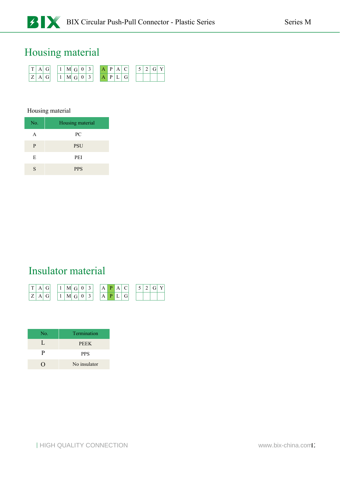## Housing material

|  | ີ | $\overline{ }$ | <b>M</b> | Ġ | 0  | ◠<br>◡ |  |  |  |  |  |
|--|---|----------------|----------|---|----|--------|--|--|--|--|--|
|  | ີ | ÷              | M        | Ġ | Ü. | ັ      |  |  |  |  |  |

#### Housing material

| No.            | Housing material |
|----------------|------------------|
| A              | PC               |
| P              | <b>PSU</b>       |
| E              | <b>PEI</b>       |
| $\overline{S}$ | <b>PPS</b>       |

## Insulator material

|   | Ġ | ÷ | M | G | 0 | ر |  | A |  | $\overline{\phantom{0}}$ |  |  |
|---|---|---|---|---|---|---|--|---|--|--------------------------|--|--|
| - | Ġ |   | M | G | 0 | ͻ |  |   |  |                          |  |  |

| No. | Termination  |  |  |
|-----|--------------|--|--|
|     | <b>PEEK</b>  |  |  |
| р   | <b>PPS</b>   |  |  |
|     | No insulator |  |  |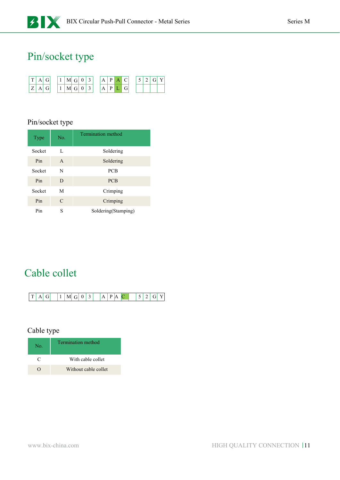## Pin/socket type



#### Pin/socket type

| <b>Type</b> | No.          | <b>Termination method</b> |
|-------------|--------------|---------------------------|
| Socket      | L            | Soldering                 |
| Pin         | $\mathsf{A}$ | Soldering                 |
| Socket      | N            | <b>PCB</b>                |
| Pin         | D            | <b>PCB</b>                |
| Socket      | M            | Crimping                  |
| Pin         | C            | Crimping                  |
| Pin         | S            | Soldering(Stamping)       |

# Cable collet

|  | $\overline{\phantom{a}}$ | ∽ |  |  | n |  |  |  |
|--|--------------------------|---|--|--|---|--|--|--|

#### Cable type

| No. | Termination method   |
|-----|----------------------|
| C   | With cable collet    |
|     | Without cable collet |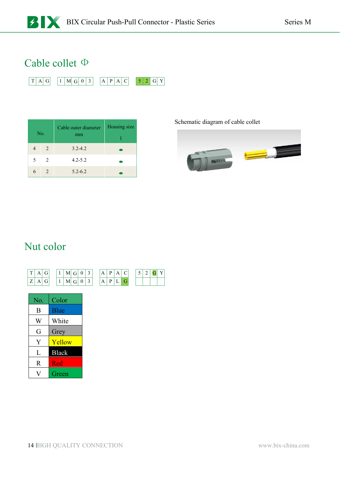### Cable collet Ф

| - |  |
|---|--|

| No. |                | Cable outer diameter<br>mm | Housing size |
|-----|----------------|----------------------------|--------------|
|     | 2              | $3.2 - 4.2$                |              |
| 5   | $\mathfrak{D}$ | $4.2 - 5.2$                |              |
| 6   |                | $5.2 - 6.2$                |              |

#### Schematic diagram of cable collet



### Nut color



| No. | Color        |
|-----|--------------|
| B   | <b>Blue</b>  |
| W   | White        |
| G   | Grey         |
| Y   | Yellow       |
| L   | <b>Black</b> |
| R   | Red          |
|     | Green        |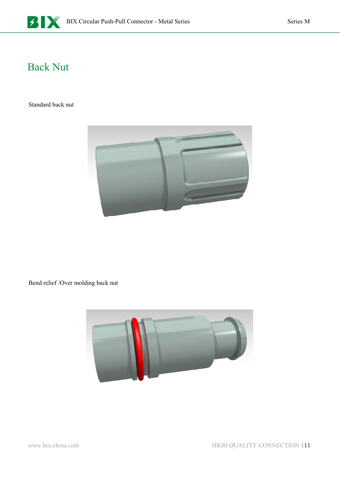

## Back Nut

Standard back nut



Bend relief /Over molding back nut